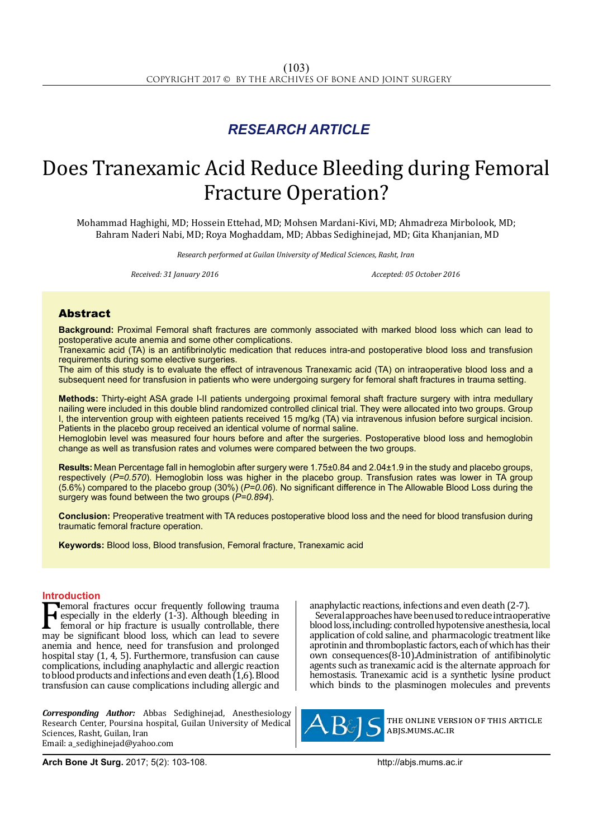## *RESEARCH ARTICLE*

# Does Tranexamic Acid Reduce Bleeding during Femoral Fracture Operation?

Mohammad Haghighi, MD; Hossein Ettehad, MD; Mohsen Mardani-Kivi, MD; Ahmadreza Mirbolook, MD; Bahram Naderi Nabi, MD; Roya Moghaddam, MD; Abbas Sedighinejad, MD; Gita Khanjanian, MD

*Research performed at Guilan University of Medical Sciences, Rasht, Iran*

*Received: 31 January 2016 Accepted: 05 October 2016*

### Abstract

**Background:** Proximal Femoral shaft fractures are commonly associated with marked blood loss which can lead to postoperative acute anemia and some other complications.

Tranexamic acid (TA) is an antifibrinolytic medication that reduces intra-and postoperative blood loss and transfusion requirements during some elective surgeries.

The aim of this study is to evaluate the effect of intravenous Tranexamic acid (TA) on intraoperative blood loss and a subsequent need for transfusion in patients who were undergoing surgery for femoral shaft fractures in trauma setting.

**Methods:** Thirty-eight ASA grade I-II patients undergoing proximal femoral shaft fracture surgery with intra medullary nailing were included in this double blind randomized controlled clinical trial. They were allocated into two groups. Group I, the intervention group with eighteen patients received 15 mg/kg (TA) via intravenous infusion before surgical incision. Patients in the placebo group received an identical volume of normal saline.

Hemoglobin level was measured four hours before and after the surgeries. Postoperative blood loss and hemoglobin change as well as transfusion rates and volumes were compared between the two groups.

**Results:** Mean Percentage fall in hemoglobin after surgery were 1.75±0.84 and 2.04±1.9 in the study and placebo groups, respectively (*P=0.570*). Hemoglobin loss was higher in the placebo group. Transfusion rates was lower in TA group (5.6%) compared to the placebo group (30%) (*P=0.06*). No significant difference in The Allowable Blood Loss during the surgery was found between the two groups (*P=0.894*).

**Conclusion:** Preoperative treatment with TA reduces postoperative blood loss and the need for blood transfusion during traumatic femoral fracture operation.

**Keywords:** Blood loss, Blood transfusion, Femoral fracture, Tranexamic acid

**Introduction**<br>**T**emoral fractures occur frequently following trauma **Femoral fractures occur frequently following trauma**<br>
femoral or hip fracture is usually controllable, there<br>
may be significant blood loss, which can lead to severe<br>
angle and hance need for transfusion and prolonged especially in the elderly (1-3). Although bleeding in femoral or hip fracture is usually controllable, there anemia and hence, need for transfusion and prolonged hospital stay (1, 4, 5). Furthermore, transfusion can cause complications, including anaphylactic and allergic reaction to blood products and infections and even death  $(1,6)$ . Blood transfusion can cause complications including allergic and

*Corresponding Author:* Abbas Sedighinejad, Anesthesiology Research Center, Poursina hospital, Guilan University of Medical Sciences, Rasht, Guilan, Iran Email: a\_sedighinejad@yahoo.com

anaphylactic reactions, infections and even death (2-7).

Several approaches have been used to reduce intraoperative blood loss, including: controlled hypotensive anesthesia, local application of cold saline, and pharmacologic treatment like aprotinin and thromboplastic factors, each of which has their own consequences(8-10).Administration of antifibinolytic agents such as tranexamic acid is the alternate approach for hemostasis. Tranexamic acid is a synthetic lysine product which binds to the plasminogen molecules and prevents



the online version of this article abjs.mums.ac.ir

**Arch Bone Jt Surg.** 2017; 5(2): 103-108.http://abjs.mums.ac.ir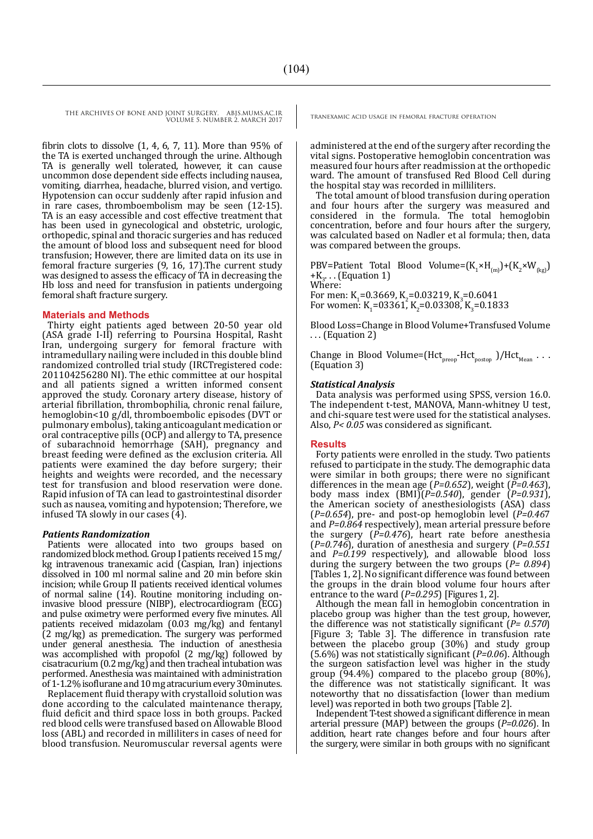fibrin clots to dissolve (1, 4, 6, 7, 11). More than 95% of the TA is exerted unchanged through the urine. Although TA is generally well tolerated, however, it can cause uncommon dose dependent side effects including nausea, vomiting, diarrhea, headache, blurred vision, and vertigo. Hypotension can occur suddenly after rapid infusion and in rare cases, thromboembolism may be seen (12-15). TA is an easy accessible and cost effective treatment that has been used in gynecological and obstetric, urologic, orthopedic, spinal and thoracic surgeries and has reduced the amount of blood loss and subsequent need for blood transfusion; However, there are limited data on its use in femoral fracture surgeries (9, 16, 17).The current study was designed to assess the efficacy of TA in decreasing the Hb loss and need for transfusion in patients undergoing femoral shaft fracture surgery.

#### **Materials and Methods**

Thirty eight patients aged between 20-50 year old (ASA grade I-II) referring to Poursina Hospital, Rasht Iran, undergoing surgery for femoral fracture with intramedullary nailing were included in this double blind randomized controlled trial study (IRCTregistered code: 201104256280 NI). The ethic committee at our hospital and all patients signed a written informed consent approved the study. Coronary artery disease, history of arterial fibrillation, thrombophilia, chronic renal failure, hemoglobin<10 g/dl, thromboembolic episodes (DVT or pulmonary embolus), taking anticoagulant medication or oral contraceptive pills (OCP) and allergy to TA, presence of subarachnoid hemorrhage (SAH), pregnancy and breast feeding were defined as the exclusion criteria. All patients were examined the day before surgery; their heights and weights were recorded, and the necessary test for transfusion and blood reservation were done. Rapid infusion of TA can lead to gastrointestinal disorder such as nausea, vomiting and hypotension; Therefore, we infused TA slowly in our cases (4).

#### *Patients Randomization*

Patients were allocated into two groups based on randomized block method. Group I patients received 15 mg/ kg intravenous tranexamic acid (Caspian, Iran) injections dissolved in 100 ml normal saline and 20 min before skin incision; while Group II patients received identical volumes of normal saline (14). Routine monitoring including oninvasive blood pressure (NIBP), electrocardiogram (ECG) and pulse oximetry were performed every five minutes. All patients received midazolam (0.03 mg/kg) and fentanyl (2 mg/kg) as premedication. The surgery was performed under general anesthesia. The induction of anesthesia was accomplished with propofol (2 mg/kg) followed by cisatracurium (0.2 mg/kg) and then tracheal intubation was performed. Anesthesia was maintained with administration of 1-1.2% isoflurane and 10 mg atracurium every 30minutes.

Replacement fluid therapy with crystalloid solution was done according to the calculated maintenance therapy, fluid deficit and third space loss in both groups. Packed red blood cells were transfused based on Allowable Blood loss (ABL) and recorded in milliliters in cases of need for blood transfusion. Neuromuscular reversal agents were

administered at the end of the surgery after recording the vital signs. Postoperative hemoglobin concentration was measured four hours after readmission at the orthopedic ward. The amount of transfused Red Blood Cell during the hospital stay was recorded in milliliters.

The total amount of blood transfusion during operation and four hours after the surgery was measured and considered in the formula. The total hemoglobin concentration, before and four hours after the surgery, was calculated based on Nadler et al formula; then, data was compared between the groups.

PBV=Patient Total Blood Volume= $(K_1 \times H_{(m)}) + (K_2 \times W_{(kg)})$  $+K_3$ ... (Equation 1) Where:

For men: K<sub>1</sub>=0.3669, K<sub>2</sub>=0.03219, K<sub>3</sub>=0.6041 For women: K<sub>1</sub>=03361, K<sub>2</sub>=0.03308, K<sub>3</sub>=0.1833

Blood Loss=Change in Blood Volume+Transfused Volume . . . (Equation 2)

Change in Blood Volume=( $Hct_{\text{preop}}-Hct_{\text{postop}}$ )/Hct<sub>Mean</sub> . . . (Equation 3)

#### *Statistical Analysis*

Data analysis was performed using SPSS, version 16.0. The independent t-test, MANOVA, Mann-whitney U test, and chi-square test were used for the statistical analyses. Also, *P< 0.05* was considered as significant.

#### **Results**

Forty patients were enrolled in the study. Two patients refused to participate in the study. The demographic data were similar in both groups; there were no significant differences in the mean age (*P=0.652*), weight (*P=0.463*), body mass index (BMI)(*P=0.540*), gender (*P=0.931*), the American society of anesthesiologists (ASA) class (*P=0.654*), pre- and post-op hemoglobin level (*P=0.46*7 and *P=0.864* respectively), mean arterial pressure before the surgery (*P=0.476*), heart rate before anesthesia (*P=0.746*), duration of anesthesia and surgery (*P=0.551*  and *P=0.199* respectively), and allowable blood loss during the surgery between the two groups (*P= 0.894*) [Tables 1, 2]. No significant difference was found between the groups in the drain blood volume four hours after entrance to the ward (*P=0.295*) [Figures 1, 2].

Although the mean fall in hemoglobin concentration in placebo group was higher than the test group, however, the difference was not statistically significant (*P= 0.570*) [Figure 3; Table 3]. The difference in transfusion rate between the placebo group (30%) and study group (5.6%) was not statistically significant (*P=0.06*). Although the surgeon satisfaction level was higher in the study group (94.4%) compared to the placebo group (80%), the difference was not statistically significant. It was noteworthy that no dissatisfaction (lower than medium level) was reported in both two groups [Table 2].

Independent T-test showed a significant difference in mean arterial pressure (MAP) between the groups (*P=0.026*). In addition, heart rate changes before and four hours after the surgery, were similar in both groups with no significant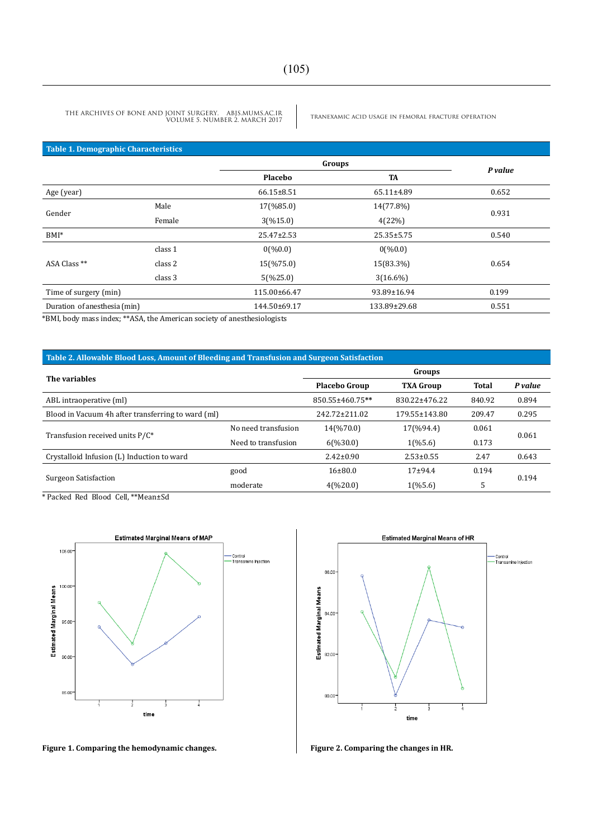tranexamic acid usage in femoral fracture operation THE ARCHIVES OF BONE AND JOINT SURGERY. ABJS.MUMS.AC.IR VOLUME 5. NUMBER 2. MARCH 2017

#### **Table 1. Demographic Characteristics**

|                              |         | Groups               |                  | P value |  |
|------------------------------|---------|----------------------|------------------|---------|--|
|                              |         | <b>TA</b><br>Placebo |                  |         |  |
| Age (year)                   |         | $66.15 \pm 8.51$     | 65.11±4.89       | 0.652   |  |
| Gender                       | Male    | 17(%85.0)            | 14(77.8%)        | 0.931   |  |
|                              | Female  | 3(%15.0)             | 4(22%)           |         |  |
| $BMI^*$                      |         | $25.47 \pm 2.53$     | $25.35 \pm 5.75$ | 0.540   |  |
| ASA Class **                 | class 1 | 0(%0.0)              | 0(%0.0)          | 0.654   |  |
|                              | class 2 | 15(%75.0)            | 15(83.3%)        |         |  |
|                              | class 3 | 5(%25.0)             | $3(16.6\%)$      |         |  |
| Time of surgery (min)        |         | 115.00±66.47         | 93.89±16.94      | 0.199   |  |
| Duration of anesthesia (min) |         | 144.50±69.17         | 133.89±29.68     | 0.551   |  |

\*BMI, body mass index; \*\*ASA, the American society of anesthesiologists

#### **Table 2. Allowable Blood Loss, Amount of Bleeding and Transfusion and Surgeon Satisfaction**

| The variables                                      |                      | Groups              |                      |         |       |  |
|----------------------------------------------------|----------------------|---------------------|----------------------|---------|-------|--|
|                                                    | <b>Placebo Group</b> | <b>TXA Group</b>    | Total                | P value |       |  |
| ABL intraoperative (ml)                            |                      | 850.55±460.75**     | 830.22±476.22        | 840.92  | 0.894 |  |
| Blood in Vacuum 4h after transferring to ward (ml) |                      | 242.72±211.02       | 179.55±143.80        | 209.47  | 0.295 |  |
|                                                    | No need transfusion  | 14(%70.0)           | 17(%94.4)            | 0.061   | 0.061 |  |
| Transfusion received units P/C*                    | Need to transfusion  | $6(\frac{6}{30.0})$ | $1(\frac{965.6}{9})$ | 0.173   |       |  |
| Crystalloid Infusion (L) Induction to ward         |                      | $2.42 \pm 0.90$     | $2.53 \pm 0.55$      | 2.47    | 0.643 |  |
|                                                    | good                 | 16±80.0             | $17+94.4$            | 0.194   |       |  |
| <b>Surgeon Satisfaction</b>                        | moderate             | 4(%20.0)            | $1(\frac{965.6}{9})$ | 5       | 0.194 |  |

\* Packed Red Blood Cell, \*\*Mean±Sd



**Figure 1. Comparing the hemodynamic changes. Figure 2. Comparing the changes in HR.**

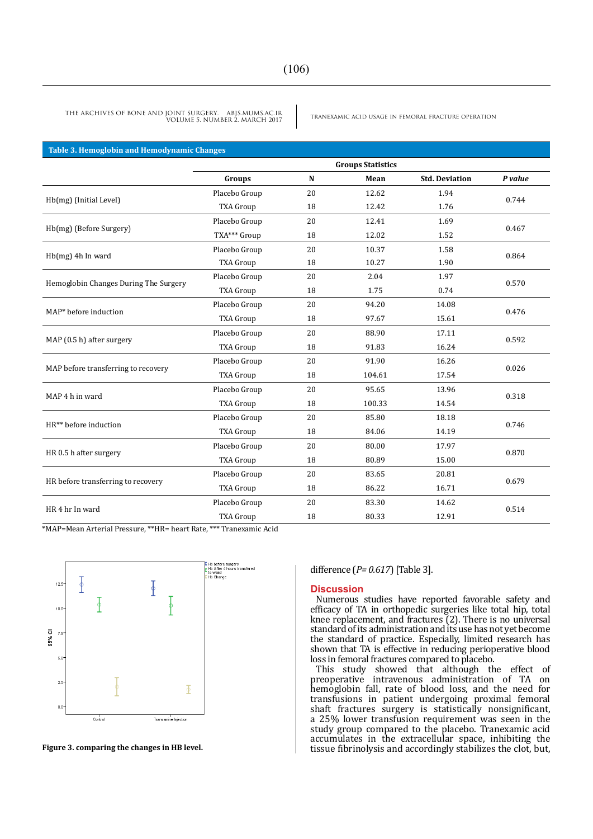| <b>Table 3. Hemoglobin and Hemodynamic Changes</b> |                          |    |        |                       |         |  |  |  |  |
|----------------------------------------------------|--------------------------|----|--------|-----------------------|---------|--|--|--|--|
|                                                    | <b>Groups Statistics</b> |    |        |                       |         |  |  |  |  |
|                                                    | Groups                   | N  | Mean   | <b>Std. Deviation</b> | P value |  |  |  |  |
|                                                    | Placebo Group            | 20 | 12.62  | 1.94                  | 0.744   |  |  |  |  |
| Hb(mg) (Initial Level)                             | <b>TXA Group</b>         | 18 | 12.42  | 1.76                  |         |  |  |  |  |
|                                                    | Placebo Group            | 20 | 12.41  | 1.69                  | 0.467   |  |  |  |  |
| Hb(mg) (Before Surgery)                            | TXA*** Group             | 18 | 12.02  | 1.52                  |         |  |  |  |  |
| $Hb(mg)$ 4h In ward                                | Placebo Group            | 20 | 10.37  | 1.58                  | 0.864   |  |  |  |  |
|                                                    | <b>TXA Group</b>         | 18 | 10.27  | 1.90                  |         |  |  |  |  |
| Hemoglobin Changes During The Surgery              | Placebo Group            | 20 | 2.04   | 1.97                  | 0.570   |  |  |  |  |
|                                                    | <b>TXA Group</b>         | 18 | 1.75   | 0.74                  |         |  |  |  |  |
| MAP* before induction                              | Placebo Group            | 20 | 94.20  | 14.08                 | 0.476   |  |  |  |  |
|                                                    | <b>TXA Group</b>         | 18 | 97.67  | 15.61                 |         |  |  |  |  |
|                                                    | Placebo Group            | 20 | 88.90  | 17.11                 | 0.592   |  |  |  |  |
| MAP (0.5 h) after surgery                          | <b>TXA Group</b>         | 18 | 91.83  | 16.24                 |         |  |  |  |  |
|                                                    | Placebo Group            | 20 | 91.90  | 16.26                 | 0.026   |  |  |  |  |
| MAP before transferring to recovery                | <b>TXA Group</b>         | 18 | 104.61 | 17.54                 |         |  |  |  |  |
| MAP 4 h in ward                                    | Placebo Group            | 20 | 95.65  | 13.96                 | 0.318   |  |  |  |  |
|                                                    | <b>TXA Group</b>         | 18 | 100.33 | 14.54                 |         |  |  |  |  |
| HR** before induction                              | Placebo Group            | 20 | 85.80  | 18.18                 | 0.746   |  |  |  |  |
|                                                    | <b>TXA Group</b>         | 18 | 84.06  | 14.19                 |         |  |  |  |  |
|                                                    | Placebo Group            | 20 | 80.00  | 17.97                 | 0.870   |  |  |  |  |
| HR 0.5 h after surgery                             | <b>TXA Group</b>         | 18 | 80.89  | 15.00                 |         |  |  |  |  |
|                                                    | Placebo Group            | 20 | 83.65  | 20.81                 | 0.679   |  |  |  |  |
| HR before transferring to recovery                 | <b>TXA Group</b>         | 18 | 86.22  | 16.71                 |         |  |  |  |  |
| HR 4 hr In ward                                    | Placebo Group            | 20 | 83.30  | 14.62                 |         |  |  |  |  |
|                                                    | <b>TXA Group</b>         | 18 | 80.33  | 12.91                 | 0.514   |  |  |  |  |

\*MAP=Mean Arterial Pressure, \*\*HR= heart Rate, \*\*\* Tranexamic Acid



**Figure 3. comparing the changes in HB level.**

#### difference (*P= 0.617*) [Table 3].

#### **Discussion**

Numerous studies have reported favorable safety and efficacy of TA in orthopedic surgeries like total hip, total knee replacement, and fractures (2). There is no universal standard of its administration and its use has not yet become the standard of practice. Especially, limited research has shown that TA is effective in reducing perioperative blood loss in femoral fractures compared to placebo.

This study showed that although the effect of preoperative intravenous administration of TA on hemoglobin fall, rate of blood loss, and the need for transfusions in patient undergoing proximal femoral shaft fractures surgery is statistically nonsignificant, a 25% lower transfusion requirement was seen in the study group compared to the placebo. Tranexamic acid accumulates in the extracellular space, inhibiting the tissue fibrinolysis and accordingly stabilizes the clot, but,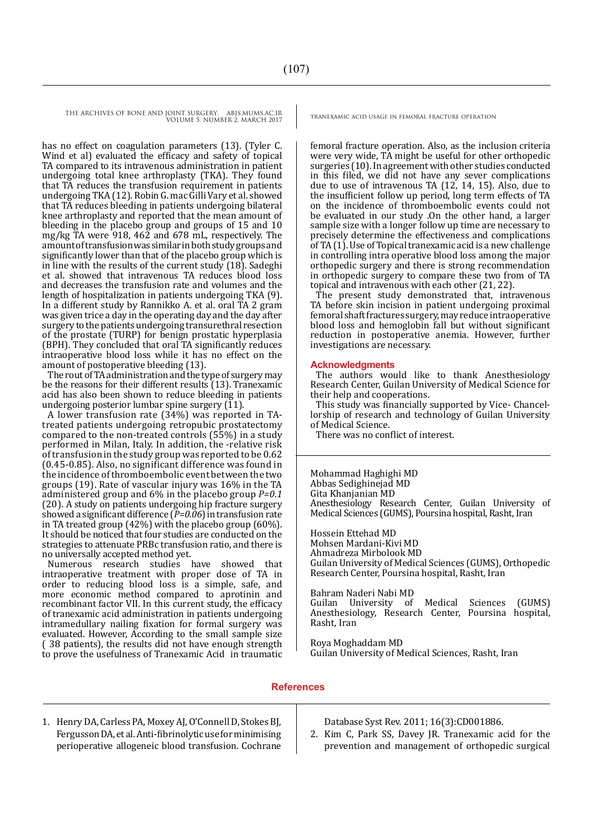has no effect on coagulation parameters (13). (Tyler C. Wind et al) evaluated the efficacy and safety of topical TA compared to its intravenous administration in patient undergoing total knee arthroplasty (TKA). They found that TA reduces the transfusion requirement in patients undergoing TKA (12). Robin G. mac Gilli Vary et al. showed that TA reduces bleeding in patients undergoing bilateral knee arthroplasty and reported that the mean amount of bleeding in the placebo group and groups of 15 and 10 mg/kg TA were 918, 462 and 678 mL, respectively. The amount of transfusion was similar in both study groups and significantly lower than that of the placebo group which is in line with the results of the current study (18). Sadeghi et al. showed that intravenous TA reduces blood loss and decreases the transfusion rate and volumes and the length of hospitalization in patients undergoing TKA (9). In a different study by Rannikko A. et al. oral TA 2 gram was given trice a day in the operating day and the day after surgery to the patients undergoing transurethral resection of the prostate (TURP) for benign prostatic hyperplasia (BPH). They concluded that oral TA significantly reduces intraoperative blood loss while it has no effect on the amount of postoperative bleeding (13).

The rout of TA administration and the type of surgery may be the reasons for their different results (13). Tranexamic acid has also been shown to reduce bleeding in patients undergoing posterior lumbar spine surgery  $(11)$ .

A lower transfusion rate (34%) was reported in TAtreated patients undergoing retropubic prostatectomy compared to the non-treated controls (55%) in a study performed in Milan, Italy. In addition, the -relative risk of transfusion in the study group was reported to be 0.62 (0.45-0.85). Also, no significant difference was found in the incidence of thromboembolic event between the two groups (19). Rate of vascular injury was 16% in the TA administered group and 6% in the placebo group *P=0.1* (20). A study on patients undergoing hip fracture surgery showed a significant difference (*P=0.06*) in transfusion rate in TA treated group (42%) with the placebo group (60%). It should be noticed that four studies are conducted on the strategies to attenuate PRBc transfusion ratio, and there is no universally accepted method yet.

Numerous research studies have showed that intraoperative treatment with proper dose of TA in order to reducing blood loss is a simple, safe, and more economic method compared to aprotinin and recombinant factor VII. In this current study, the efficacy of tranexamic acid administration in patients undergoing intramedullary nailing fixation for formal surgery was evaluated. However, According to the small sample size ( 38 patients), the results did not have enough strength to prove the usefulness of Tranexamic Acid in traumatic

femoral fracture operation. Also, as the inclusion criteria were very wide, TA might be useful for other orthopedic surgeries (10). In agreement with other studies conducted in this filed, we did not have any sever complications due to use of intravenous TA (12, 14, 15). Also, due to the insufficient follow up period, long term effects of TA on the incidence of thromboembolic events could not be evaluated in our study .On the other hand, a larger sample size with a longer follow up time are necessary to precisely determine the effectiveness and complications of TA (1). Use of Topical tranexamic acid is a new challenge in controlling intra operative blood loss among the major orthopedic surgery and there is strong recommendation in orthopedic surgery to compare these two from of TA topical and intravenous with each other (21, 22).

The present study demonstrated that, intravenous TA before skin incision in patient undergoing proximal femoral shaft fractures surgery, may reduce intraoperative blood loss and hemoglobin fall but without significant reduction in postoperative anemia. However, further investigations are necessary.

#### **Acknowledgments**

The authors would like to thank Anesthesiology Research Center, Guilan University of Medical Science for their help and cooperations.

This study was financially supported by Vice- Chancellorship of research and technology of Guilan University of Medical Science.

There was no conflict of interest.

Mohammad Haghighi MD Abbas Sedighinejad MD Gita Khanjanian MD Anesthesiology Research Center, Guilan University of Medical Sciences (GUMS), Poursina hospital, Rasht, Iran

Hossein Ettehad MD Mohsen Mardani-Kivi MD Ahmadreza Mirbolook MD Guilan University of Medical Sciences (GUMS), Orthopedic Research Center, Poursina hospital, Rasht, Iran

Bahram Naderi Nabi MD Guilan University of Medical Sciences (GUMS) Anesthesiology, Research Center, Poursina hospital, Rasht, Iran

Roya Moghaddam MD Guilan University of Medical Sciences, Rasht, Iran

#### **References**

1. Henry DA, Carless PA, Moxey AJ, O'Connell D, Stokes BJ, Fergusson DA, et al. Anti-fibrinolytic use for minimising perioperative allogeneic blood transfusion. Cochrane

Database Syst Rev. 2011; 16(3):CD001886.

2. Kim C, Park SS, Davey JR. Tranexamic acid for the prevention and management of orthopedic surgical